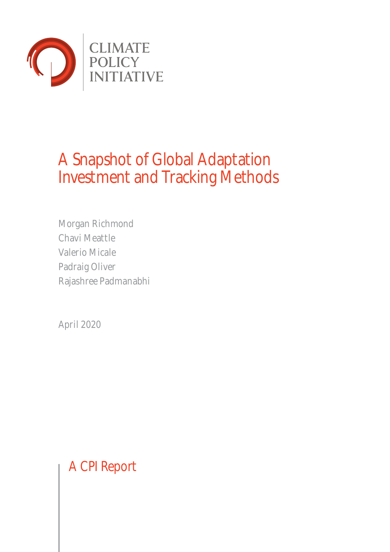

# A Snapshot of Global Adaptation Investment and Tracking Methods

Morgan Richmond Chavi Meattle Valerio Micale Padraig Oliver Rajashree Padmanabhi

April 2020

A CPI Report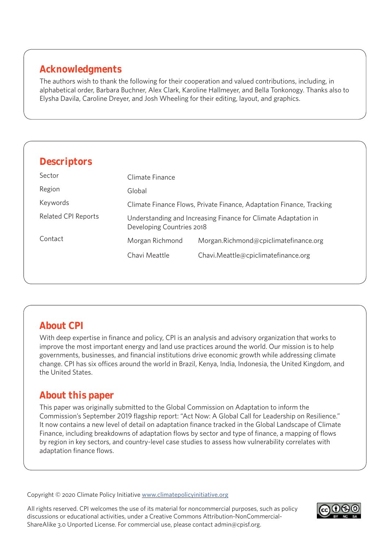# **Acknowledgments**

The authors wish to thank the following for their cooperation and valued contributions, including, in alphabetical order, Barbara Buchner, Alex Clark, Karoline Hallmeyer, and Bella Tonkonogy. Thanks also to Elysha Davila, Caroline Dreyer, and Josh Wheeling for their editing, layout, and graphics.

| <b>Descriptors</b>         |                                                                                             |                                       |  |
|----------------------------|---------------------------------------------------------------------------------------------|---------------------------------------|--|
| Sector                     | Climate Finance                                                                             |                                       |  |
| Region                     | Global                                                                                      |                                       |  |
| Keywords                   | Climate Finance Flows, Private Finance, Adaptation Finance, Tracking                        |                                       |  |
| <b>Related CPI Reports</b> | Understanding and Increasing Finance for Climate Adaptation in<br>Developing Countries 2018 |                                       |  |
| Contact                    | Morgan Richmond                                                                             | Morgan.Richmond@cpiclimatefinance.org |  |
|                            | Chavi Meattle                                                                               | Chavi.Meattle@cpiclimatefinance.org   |  |

# **About CPI**

With deep expertise in finance and policy, CPI is an analysis and advisory organization that works to improve the most important energy and land use practices around the world. Our mission is to help governments, businesses, and financial institutions drive economic growth while addressing climate change. CPI has six offices around the world in Brazil, Kenya, India, Indonesia, the United Kingdom, and the United States.

# **About this paper**

This paper was originally submitted to the Global Commission on Adaptation to inform the Commission's September 2019 flagship report: "Act Now: A Global Call for Leadership on Resilience." It now contains a new level of detail on adaptation finance tracked in the Global Landscape of Climate Finance, including breakdowns of adaptation flows by sector and type of finance, a mapping of flows by region in key sectors, and country-level case studies to assess how vulnerability correlates with adaptation finance flows.

Copyright © 2020 Climate Policy Initiative [www.climatepolicyinitiative.org](http://www.climatepolicyinitiative.org )

All rights reserved. CPI welcomes the use of its material for noncommercial purposes, such as policy discussions or educational activities, under a Creative Commons Attribution-NonCommercial-ShareAlike 3.0 Unported License. For commercial use, please contact admin@cpisf.org.

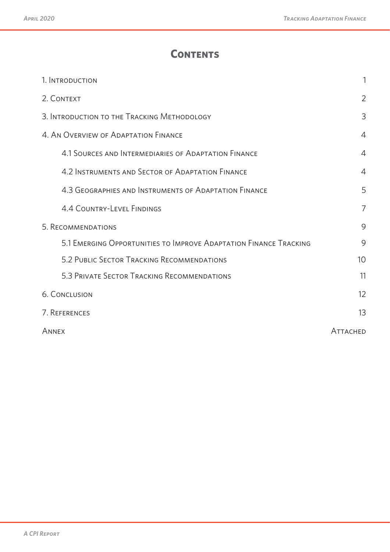# **Contents**

| 1. INTRODUCTION                                                   |                 |  |
|-------------------------------------------------------------------|-----------------|--|
| 2. CONTEXT                                                        |                 |  |
| 3. INTRODUCTION TO THE TRACKING METHODOLOGY                       |                 |  |
| 4. AN OVERVIEW OF ADAPTATION FINANCE                              |                 |  |
| 4.1 SOURCES AND INTERMEDIARIES OF ADAPTATION FINANCE              | $\overline{4}$  |  |
| 4.2 INSTRUMENTS AND SECTOR OF ADAPTATION FINANCE                  | $\overline{4}$  |  |
| 4.3 GEOGRAPHIES AND INSTRUMENTS OF ADAPTATION FINANCE             | 5               |  |
| <b>4.4 COUNTRY-LEVEL FINDINGS</b>                                 | $\overline{7}$  |  |
| 5. RECOMMENDATIONS                                                |                 |  |
| 5.1 EMERGING OPPORTUNITIES TO IMPROVE ADAPTATION FINANCE TRACKING | 9               |  |
| 5.2 PUBLIC SECTOR TRACKING RECOMMENDATIONS                        | 10              |  |
| 5.3 PRIVATE SECTOR TRACKING RECOMMENDATIONS                       | 11              |  |
| <b>6. CONCLUSION</b>                                              |                 |  |
| 7. REFERENCES                                                     |                 |  |
| ANNEX                                                             | <b>ATTACHED</b> |  |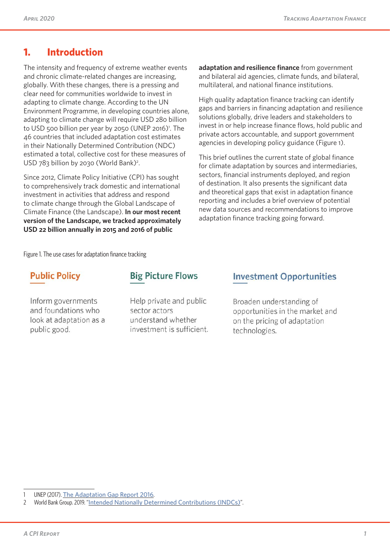### **1. Introduction**

The intensity and frequency of extreme weather events and chronic climate-related changes are increasing, globally. With these changes, there is a pressing and clear need for communities worldwide to invest in adapting to climate change. According to the UN Environment Programme, in developing countries alone, adapting to climate change will require USD 280 billion to USD 500 billion per year by 2050 (UNEP 2016)<sup>1</sup>. The 46 countries that included adaptation cost estimates in their Nationally Determined Contribution (NDC) estimated a total, collective cost for these measures of USD 783 billion by 2030 (World Bank)<sup>2</sup>.

Since 2012, Climate Policy Initiative (CPI) has sought to comprehensively track domestic and international investment in activities that address and respond to climate change through the Global Landscape of Climate Finance (the Landscape). **In our most recent version of the Landscape, we tracked approximately USD 22 billion annually in 2015 and 2016 of public** 

**adaptation and resilience finance** from government and bilateral aid agencies, climate funds, and bilateral, multilateral, and national finance institutions.

High quality adaptation finance tracking can identify gaps and barriers in financing adaptation and resilience solutions globally, drive leaders and stakeholders to invest in or help increase finance flows, hold public and private actors accountable, and support government agencies in developing policy guidance (Figure 1).

This brief outlines the current state of global finance for climate adaptation by sources and intermediaries, sectors, financial instruments deployed, and region of destination. It also presents the significant data and theoretical gaps that exist in adaptation finance reporting and includes a brief overview of potential new data sources and recommendations to improve adaptation finance tracking going forward.

Figure 1. The use cases for adaptation finance tracking

# **Public Policy**

Inform governments and foundations who look at adaptation as a public good.

### **Big Picture Flows**

Help private and public sector actors understand whether investment is sufficient.

#### **Investment Opportunities**

Broaden understanding of opportunities in the market and on the pricing of adaptation technologies.

<sup>1</sup> UNEP (2017). [The Adaptation Gap Report 2016](https://climateanalytics.org/media/agr2016.pdf).

<sup>2</sup> World Bank Group. 2019. "[Intended Nationally Determined Contributions \(INDCs\)](http://spappssecext.worldbank.org/sites/indc/Pages/adaptation.aspx)".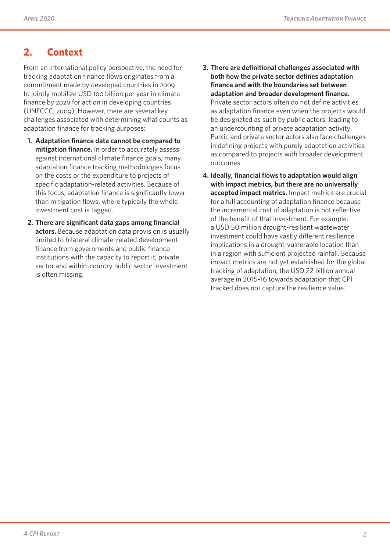# **2. Context**

From an international policy perspective, the need for tracking adaptation finance flows originates from a commitment made by developed countries in 2009 to jointly mobilize USD 100 billion per year in climate finance by 2020 for action in developing countries (UNFCCC, 2009). However, there are several key challenges associated with determining what counts as adaptation finance for tracking purposes:

- **1. Adaptation finance data cannot be compared to mitigation finance.** In order to accurately assess against international climate finance goals, many adaptation finance tracking methodologies focus on the costs or the expenditure to projects of specific adaptation-related activities. Because of this focus, adaptation finance is significantly lower than mitigation flows, where typically the whole investment cost is tagged.
- **2. There are significant data gaps among financial actors.** Because adaptation data provision is usually limited to bilateral climate-related development finance from governments and public finance institutions with the capacity to report it, private sector and within-country public sector investment is often missing.
- **3. There are definitional challenges associated with both how the private sector defines adaptation finance and with the boundaries set between adaptation and broader development finance.**  Private sector actors often do not define activities as adaptation finance even when the projects would be designated as such by public actors, leading to an undercounting of private adaptation activity. Public and private sector actors also face challenges in defining projects with purely adaptation activities as compared to projects with broader development outcomes.
- **4. Ideally, financial flows to adaptation would align with impact metrics, but there are no universally accepted impact metrics.** Impact metrics are crucial for a full accounting of adaptation finance because the incremental cost of adaptation is not reflective of the benefit of that investment. For example, a USD 50 million drought-resilient wastewater investment could have vastly different resilience implications in a drought-vulnerable location than in a region with sufficient projected rainfall. Because impact metrics are not yet established for the global tracking of adaptation, the USD 22 billion annual average in 2015-16 towards adaptation that CPI tracked does not capture the resilience value.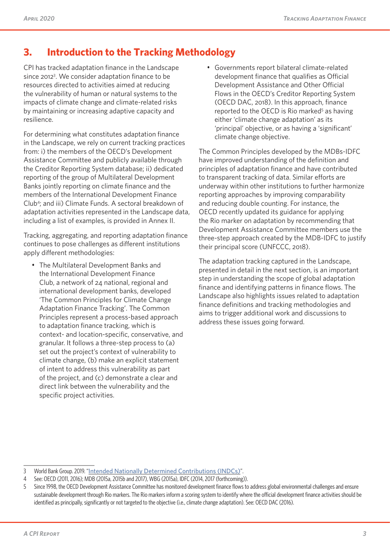# **3. Introduction to the Tracking Methodology**

CPI has tracked adaptation finance in the Landscape since 20123 . We consider adaptation finance to be resources directed to activities aimed at reducing the vulnerability of human or natural systems to the impacts of climate change and climate-related risks by maintaining or increasing adaptive capacity and resilience.

For determining what constitutes adaptation finance in the Landscape, we rely on current tracking practices from: i) the members of the OECD's Development Assistance Committee and publicly available through the Creditor Reporting System database; ii) dedicated reporting of the group of Multilateral Development Banks jointly reporting on climate finance and the members of the International Development Finance Club4 ; and iii) Climate Funds. A sectoral breakdown of adaptation activities represented in the Landscape data, including a list of examples, is provided in Annex II.

Tracking, aggregating, and reporting adaptation finance continues to pose challenges as different institutions apply different methodologies:

• The Multilateral Development Banks and the International Development Finance Club, a network of 24 national, regional and international development banks, developed 'The Common Principles for Climate Change Adaptation Finance Tracking'. The Common Principles represent a process-based approach to adaptation finance tracking, which is context- and location-specific, conservative, and granular. It follows a three-step process to (a) set out the project's context of vulnerability to climate change, (b) make an explicit statement of intent to address this vulnerability as part of the project, and (c) demonstrate a clear and direct link between the vulnerability and the specific project activities.

• Governments report bilateral climate-related development finance that qualifies as Official Development Assistance and Other Official Flows in the OECD's Creditor Reporting System (OECD DAC, 2018). In this approach, finance reported to the OECD is Rio marked<sup>5</sup> as having either 'climate change adaptation' as its 'principal' objective, or as having a 'significant' climate change objective.

The Common Principles developed by the MDBs-IDFC have improved understanding of the definition and principles of adaptation finance and have contributed to transparent tracking of data. Similar efforts are underway within other institutions to further harmonize reporting approaches by improving comparability and reducing double counting. For instance, the OECD recently updated its guidance for applying the Rio marker on adaptation by recommending that Development Assistance Committee members use the three-step approach created by the MDB-IDFC to justify their principal score (UNFCCC, 2018).

The adaptation tracking captured in the Landscape, presented in detail in the next section, is an important step in understanding the scope of global adaptation finance and identifying patterns in finance flows. The Landscape also highlights issues related to adaptation finance definitions and tracking methodologies and aims to trigger additional work and discussions to address these issues going forward.

<sup>3</sup> World Bank Group. 2019. "[Intended Nationally Determined Contributions \(INDCs\)](http://spappssecext.worldbank.org/sites/indc/Pages/adaptation.aspx)".

<sup>4</sup> See: OECD (2011, 2016); MDB (2015a, 2015b and 2017), WBG (2015a), IDFC (2014, 2017 (forthcoming)).

<sup>5</sup> Since 1998, the OECD Development Assistance Committee has monitored development finance flows to address global environmental challenges and ensure sustainable development through Rio markers. The Rio markers inform a scoring system to identify where the official development finance activities should be identified as principally, significantly or not targeted to the objective (i.e., climate change adaptation). See: OECD DAC (2016).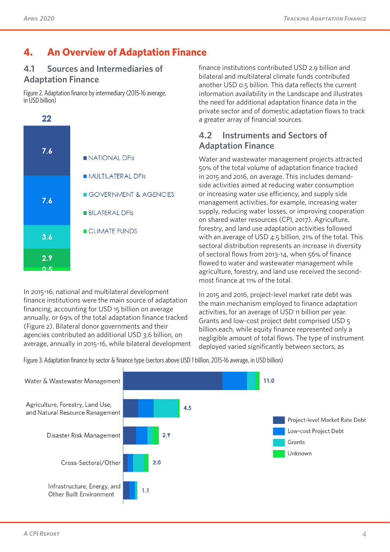# **4. An Overview of Adaptation Finance**

### **4.1 Sources and Intermediaries of Adaptation Finance**

Figure 2. Adaptation finance by intermediary (2015-16 average, in USD billion)



In 2015-16, national and multilateral development finance institutions were the main source of adaptation financing, accounting for USD 15 billion on average annually, or 69% of the total adaptation finance tracked (Figure 2). Bilateral donor governments and their agencies contributed an additional USD 3.6 billion, on average, annually in 2015-16, while bilateral development finance institutions contributed USD 2.9 billion and bilateral and multilateral climate funds contributed another USD 0.5 billion. This data reflects the current information availability in the Landscape and illustrates the need for additional adaptation finance data in the private sector and of domestic adaptation flows to track a greater array of financial sources.

### **4.2 Instruments and Sectors of Adaptation Finance**

Water and wastewater management projects attracted 50% of the total volume of adaptation finance tracked in 2015 and 2016, on average. This includes demandside activities aimed at reducing water consumption or increasing water use efficiency, and supply side management activities, for example, increasing water supply, reducing water losses, or improving cooperation on shared water resources (CPI, 2017). Agriculture, forestry, and land use adaptation activities followed with an average of USD 4.5 billion, 21% of the total. This sectoral distribution represents an increase in diversity of sectoral flows from 2013-14, when 56% of finance flowed to water and wastewater management while agriculture, forestry, and land use received the secondmost finance at 11% of the total.

In 2015 and 2016, project-level market rate debt was the main mechanism employed to finance adaptation activities, for an average of USD 11 billion per year. Grants and low-cost project debt comprised USD 5 billion each, while equity finance represented only a negligible amount of total flows. The type of instrument deployed varied significantly between sectors, as

Figure 3. Adaptation finance by sector & finance type (sectors above USD 1 billion, 2015-16 average, in USD billion)

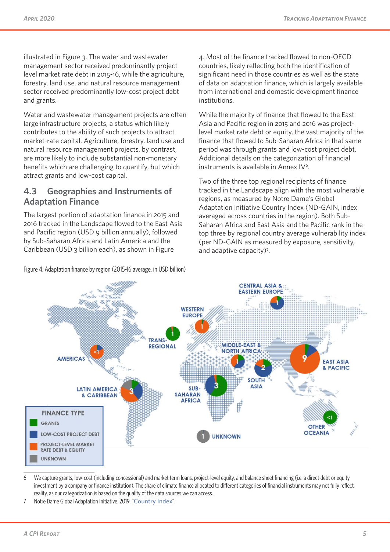illustrated in Figure 3. The water and wastewater management sector received predominantly project level market rate debt in 2015-16, while the agriculture, forestry, land use, and natural resource management sector received predominantly low-cost project debt and grants.

Water and wastewater management projects are often large infrastructure projects, a status which likely contributes to the ability of such projects to attract market-rate capital. Agriculture, forestry, land use and natural resource management projects, by contrast, are more likely to include substantial non-monetary benefits which are challenging to quantify, but which attract grants and low-cost capital.

### **4.3 Geographies and Instruments of Adaptation Finance**

The largest portion of adaptation finance in 2015 and 2016 tracked in the Landscape flowed to the East Asia and Pacific region (USD 9 billion annually), followed by Sub-Saharan Africa and Latin America and the Caribbean (USD 3 billion each), as shown in Figure

Figure 4. Adaptation finance by region (2015-16 average, in USD billion)

4. Most of the finance tracked flowed to non-OECD countries, likely reflecting both the identification of significant need in those countries as well as the state of data on adaptation finance, which is largely available from international and domestic development finance institutions.

While the majority of finance that flowed to the East Asia and Pacific region in 2015 and 2016 was projectlevel market rate debt or equity, the vast majority of the finance that flowed to Sub-Saharan Africa in that same period was through grants and low-cost project debt. Additional details on the categorization of financial instruments is available in Annex IV<sup>6</sup>.

Two of the three top regional recipients of finance tracked in the Landscape align with the most vulnerable regions, as measured by Notre Dame's Global Adaptation Initiative Country Index (ND-GAIN, index averaged across countries in the region). Both Sub-Saharan Africa and East Asia and the Pacific rank in the top three by regional country average vulnerability index (per ND-GAIN as measured by exposure, sensitivity, and adaptive capacity)<sup>7</sup>.



<sup>6</sup> We capture grants, low-cost (including concessional) and market term loans, project-level equity, and balance sheet financing (i.e. a direct debt or equity investment by a company or finance institution). The share of climate finance allocated to different categories of financial instruments may not fully reflect reality, as our categorization is based on the quality of the data sources we can access.

<sup>7</sup> Notre Dame Global Adaptation Initiative. 2019. "[Country Index](https://gain.nd.edu/our-work/country-index/)".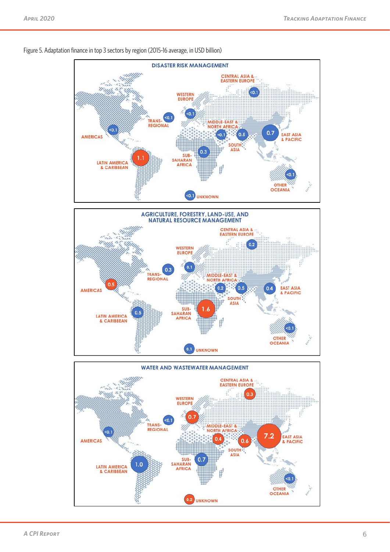

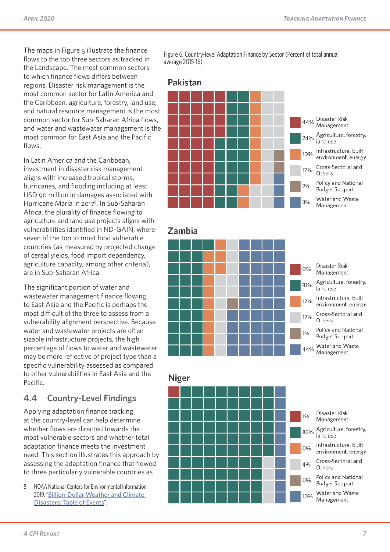The maps in Figure 5 illustrate the finance flows to the top three sectors as tracked in the Landscape. The most common sectors to which finance flows differs between regions. Disaster risk management is the most common sector for Latin America and the Caribbean, agriculture, forestry, land use, and natural resource management is the most common sector for Sub-Saharan Africa flows, and water and wastewater management is the most common for East Asia and the Pacific flows.

In Latin America and the Caribbean, investment in disaster risk management aligns with increased tropical storms, hurricanes, and flooding including at least USD 90 million in damages associated with Hurricane Maria in 2017<sup>8</sup>. In Sub-Saharan Africa, the plurality of finance flowing to agriculture and land use projects aligns with vulnerabilities identified in ND-GAIN, where seven of the top 10 most food vulnerable countries (as measured by projected change of cereal yields, food import dependency, agriculture capacity, among other criteria), are in Sub-Saharan Africa.

The significant portion of water and wastewater management finance flowing to East Asia and the Pacific is perhaps the most difficult of the three to assess from a vulnerability alignment perspective. Because water and wastewater projects are often sizable infrastructure projects, the high percentage of flows to water and wastewater may be more reflective of project type than a specific vulnerability assessed as compared to other vulnerabilities in East Asia and the Pacific.

#### **4.4 Country-Level Findings**

Applying adaptation finance tracking at the country-level can help determine whether flows are directed towards the most vulnerable sectors and whether total adaptation finance meets the investment need. This section illustrates this approach by assessing the adaptation finance that flowed to three particularly vulnerable countries as

8 NOAA National Centers for Environmental Information. 2019. "[Billion-Dollar Weather and Climate](https://www.ncdc.noaa.gov/billions/events/US/2017)  [Disasters: Table of Events](https://www.ncdc.noaa.gov/billions/events/US/2017)".

Figure 6. Country-level Adaptation Finance by Sector (Percent of total annual average 2015-16)

#### Pakistan



#### Zambia



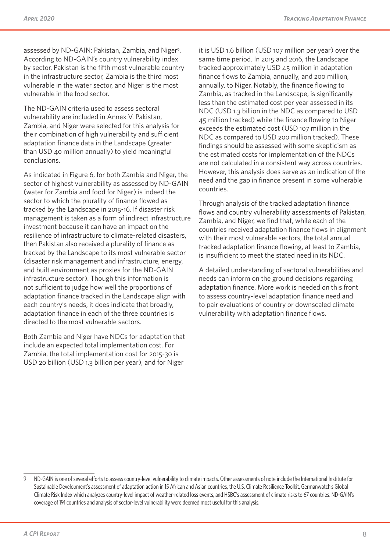assessed by ND-GAIN: Pakistan, Zambia, and Niger<sup>9</sup>. According to ND-GAIN's country vulnerability index by sector, Pakistan is the fifth most vulnerable country in the infrastructure sector, Zambia is the third most vulnerable in the water sector, and Niger is the most vulnerable in the food sector.

The ND-GAIN criteria used to assess sectoral vulnerability are included in Annex V. Pakistan, Zambia, and Niger were selected for this analysis for their combination of high vulnerability and sufficient adaptation finance data in the Landscape (greater than USD 40 million annually) to yield meaningful conclusions.

As indicated in Figure 6, for both Zambia and Niger, the sector of highest vulnerability as assessed by ND-GAIN (water for Zambia and food for Niger) is indeed the sector to which the plurality of finance flowed as tracked by the Landscape in 2015-16. If disaster risk management is taken as a form of indirect infrastructure investment because it can have an impact on the resilience of infrastructure to climate-related disasters, then Pakistan also received a plurality of finance as tracked by the Landscape to its most vulnerable sector (disaster risk management and infrastructure, energy, and built environment as proxies for the ND-GAIN infrastructure sector). Though this information is not sufficient to judge how well the proportions of adaptation finance tracked in the Landscape align with each country's needs, it does indicate that broadly, adaptation finance in each of the three countries is directed to the most vulnerable sectors.

Both Zambia and Niger have NDCs for adaptation that include an expected total implementation cost. For Zambia, the total implementation cost for 2015-30 is USD 20 billion (USD 1.3 billion per year), and for Niger

it is USD 1.6 billion (USD 107 million per year) over the same time period. In 2015 and 2016, the Landscape tracked approximately USD 45 million in adaptation finance flows to Zambia, annually, and 200 million, annually, to Niger. Notably, the finance flowing to Zambia, as tracked in the Landscape, is significantly less than the estimated cost per year assessed in its NDC (USD 1.3 billion in the NDC as compared to USD 45 million tracked) while the finance flowing to Niger exceeds the estimated cost (USD 107 million in the NDC as compared to USD 200 million tracked). These findings should be assessed with some skepticism as the estimated costs for implementation of the NDCs are not calculated in a consistent way across countries. However, this analysis does serve as an indication of the need and the gap in finance present in some vulnerable countries.

Through analysis of the tracked adaptation finance flows and country vulnerability assessments of Pakistan, Zambia, and Niger, we find that, while each of the countries received adaptation finance flows in alignment with their most vulnerable sectors, the total annual tracked adaptation finance flowing, at least to Zambia, is insufficient to meet the stated need in its NDC.

A detailed understanding of sectoral vulnerabilities and needs can inform on the ground decisions regarding adaptation finance. More work is needed on this front to assess country-level adaptation finance need and to pair evaluations of country or downscaled climate vulnerability with adaptation finance flows.

<sup>9</sup> ND-GAIN is one of several efforts to assess country-level vulnerability to climate impacts. Other assessments of note include the International Institute for Sustainable Development's assessment of adaptation action in 15 African and Asian countries, the U.S. Climate Resilience Toolkit, Germanwatch's Global Climate Risk Index which analyzes country-level impact of weather-related loss events, and HSBC's assessment of climate risks to 67 countries. ND-GAIN's coverage of 191 countries and analysis of sector-level vulnerability were deemed most useful for this analysis.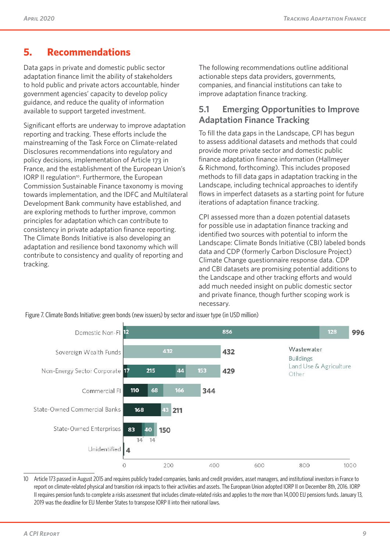# **5. Recommendations**

Data gaps in private and domestic public sector adaptation finance limit the ability of stakeholders to hold public and private actors accountable, hinder government agencies' capacity to develop policy guidance, and reduce the quality of information available to support targeted investment.

Significant efforts are underway to improve adaptation reporting and tracking. These efforts include the mainstreaming of the Task Force on Climate-related Disclosures recommendations into regulatory and policy decisions, implementation of Article 173 in France, and the establishment of the European Union's IORP II regulation<sup>10</sup>. Furthermore, the European Commission Sustainable Finance taxonomy is moving towards implementation, and the IDFC and Multilateral Development Bank community have established, and are exploring methods to further improve, common principles for adaptation which can contribute to consistency in private adaptation finance reporting. The Climate Bonds Initiative is also developing an adaptation and resilience bond taxonomy which will contribute to consistency and quality of reporting and tracking.

The following recommendations outline additional actionable steps data providers, governments, companies, and financial institutions can take to improve adaptation finance tracking.

### **5.1 Emerging Opportunities to Improve Adaptation Finance Tracking**

To fill the data gaps in the Landscape, CPI has begun to assess additional datasets and methods that could provide more private sector and domestic public finance adaptation finance information (Hallmeyer & Richmond, forthcoming). This includes proposed methods to fill data gaps in adaptation tracking in the Landscape, including technical approaches to identify flows in imperfect datasets as a starting point for future iterations of adaptation finance tracking.

CPI assessed more than a dozen potential datasets for possible use in adaptation finance tracking and identified two sources with potential to inform the Landscape: Climate Bonds Initiative (CBI) labeled bonds data and CDP (formerly Carbon Disclosure Project) Climate Change questionnaire response data. CDP and CBI datasets are promising potential additions to the Landscape and other tracking efforts and would add much needed insight on public domestic sector and private finance, though further scoping work is necessary.



Figure 7. Climate Bonds Initiative: green bonds (new issuers) by sector and issuer type (in USD million)

10 Article 173 passed in August 2015 and requires publicly traded companies, banks and credit providers, asset managers, and institutional investors in France to report on climate-related physical and transition risk impacts to their activities and assets. The European Union adopted IORP II on December 8th, 2016. IORP II requires pension funds to complete a risks assessment that includes climate-related risks and applies to the more than 14,000 EU pensions funds. January 13, 2019 was the deadline for EU Member States to transpose IORP II into their national laws.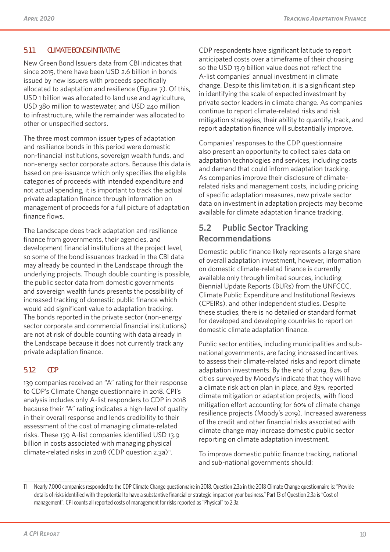#### **5.1.1 CLIMATE BONDS INITIATIVE**

New Green Bond Issuers data from CBI indicates that since 2015, there have been USD 2.6 billion in bonds issued by new issuers with proceeds specifically allocated to adaptation and resilience (Figure 7). Of this, USD 1 billion was allocated to land use and agriculture, USD 380 million to wastewater, and USD 240 million to infrastructure, while the remainder was allocated to other or unspecified sectors.

The three most common issuer types of adaptation and resilience bonds in this period were domestic non-financial institutions, sovereign wealth funds, and non-energy sector corporate actors. Because this data is based on pre-issuance which only specifies the eligible categories of proceeds with intended expenditure and not actual spending, it is important to track the actual private adaptation finance through information on management of proceeds for a full picture of adaptation finance flows.

The Landscape does track adaptation and resilience finance from governments, their agencies, and development financial institutions at the project level, so some of the bond issuances tracked in the CBI data may already be counted in the Landscape through the underlying projects. Though double counting is possible, the public sector data from domestic governments and sovereign wealth funds presents the possibility of increased tracking of domestic public finance which would add significant value to adaptation tracking. The bonds reported in the private sector (non-energy sector corporate and commercial financial institutions) are not at risk of double counting with data already in the Landscape because it does not currently track any private adaptation finance.

#### **5.1.2 CDP**

139 companies received an "A" rating for their response to CDP's Climate Change questionnaire in 2018. CPI's analysis includes only A-list responders to CDP in 2018 because their "A" rating indicates a high-level of quality in their overall response and lends credibility to their assessment of the cost of managing climate-related risks. These 139 A-list companies identified USD 13.9 billion in costs associated with managing physical climate-related risks in 2018 (CDP question 2.3a)<sup>11</sup>.

CDP respondents have significant latitude to report anticipated costs over a timeframe of their choosing so the USD 13.9 billion value does not reflect the A-list companies' annual investment in climate change. Despite this limitation, it is a significant step in identifying the scale of expected investment by private sector leaders in climate change. As companies continue to report climate-related risks and risk mitigation strategies, their ability to quantify, track, and report adaptation finance will substantially improve.

Companies' responses to the CDP questionnaire also present an opportunity to collect sales data on adaptation technologies and services, including costs and demand that could inform adaptation tracking. As companies improve their disclosure of climaterelated risks and management costs, including pricing of specific adaptation measures, new private sector data on investment in adaptation projects may become available for climate adaptation finance tracking.

#### **5.2 Public Sector Tracking Recommendations**

Domestic public finance likely represents a large share of overall adaptation investment, however, information on domestic climate-related finance is currently available only through limited sources, including Biennial Update Reports (BURs) from the UNFCCC, Climate Public Expenditure and Institutional Reviews (CPEIRs), and other independent studies. Despite these studies, there is no detailed or standard format for developed and developing countries to report on domestic climate adaptation finance.

Public sector entities, including municipalities and subnational governments, are facing increased incentives to assess their climate-related risks and report climate adaptation investments. By the end of 2019, 82% of cities surveyed by Moody's indicate that they will have a climate risk action plan in place, and 83% reported climate mitigation or adaptation projects, with flood mitigation effort accounting for 60% of climate change resilience projects (Moody's 2019). Increased awareness of the credit and other financial risks associated with climate change may increase domestic public sector reporting on climate adaptation investment.

To improve domestic public finance tracking, national and sub-national governments should:

<sup>11</sup> Nearly 7,000 companies responded to the CDP Climate Change questionnaire in 2018. Question 2.3a in the 2018 Climate Change questionnaire is: "Provide details of risks identified with the potential to have a substantive financial or strategic impact on your business." Part 13 of Question 2.3a is "Cost of management". CPI counts all reported costs of management for risks reported as "Physical" to 2.3a.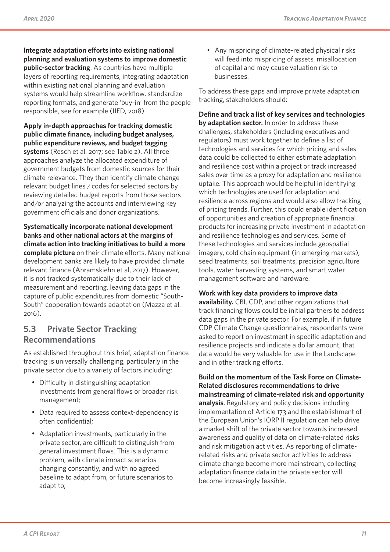**Integrate adaptation efforts into existing national planning and evaluation systems to improve domestic public-sector tracking**. As countries have multiple layers of reporting requirements, integrating adaptation within existing national planning and evaluation systems would help streamline workflow, standardize reporting formats, and generate 'buy-in' from the people responsible, see for example (IIED, 2018).

**Apply in-depth approaches for tracking domestic public climate finance, including budget analyses, public expenditure reviews, and budget tagging systems** (Resch et al. 2017; see Table 2). All three approaches analyze the allocated expenditure of government budgets from domestic sources for their climate relevance. They then identify climate change relevant budget lines / codes for selected sectors by reviewing detailed budget reports from those sectors and/or analyzing the accounts and interviewing key government officials and donor organizations.

**Systematically incorporate national development banks and other national actors at the margins of climate action into tracking initiatives to build a more complete picture** on their climate efforts. Many national development banks are likely to have provided climate relevant finance (Abramskiehn et al, 2017). However, it is not tracked systematically due to their lack of measurement and reporting, leaving data gaps in the capture of public expenditures from domestic "South-South" cooperation towards adaptation (Mazza et al. 2016).

#### **5.3 Private Sector Tracking Recommendations**

As established throughout this brief, adaptation finance tracking is universally challenging, particularly in the private sector due to a variety of factors including:

- Difficulty in distinguishing adaptation investments from general flows or broader risk management;
- Data required to assess context-dependency is often confidential;
- Adaptation investments, particularly in the private sector, are difficult to distinguish from general investment flows. This is a dynamic problem, with climate impact scenarios changing constantly, and with no agreed baseline to adapt from, or future scenarios to adapt to;

• Any mispricing of climate-related physical risks will feed into mispricing of assets, misallocation of capital and may cause valuation risk to businesses.

To address these gaps and improve private adaptation tracking, stakeholders should:

**Define and track a list of key services and technologies by adaptation sector.** In order to address these challenges, stakeholders (including executives and regulators) must work together to define a list of technologies and services for which pricing and sales data could be collected to either estimate adaptation and resilience cost within a project or track increased sales over time as a proxy for adaptation and resilience uptake. This approach would be helpful in identifying which technologies are used for adaptation and resilience across regions and would also allow tracking of pricing trends. Further, this could enable identification of opportunities and creation of appropriate financial products for increasing private investment in adaptation and resilience technologies and services. Some of these technologies and services include geospatial imagery, cold chain equipment (in emerging markets), seed treatments, soil treatments, precision agriculture tools, water harvesting systems, and smart water management software and hardware.

#### **Work with key data providers to improve data**

**availability.** CBI, CDP, and other organizations that track financing flows could be initial partners to address data gaps in the private sector. For example, if in future CDP Climate Change questionnaires, respondents were asked to report on investment in specific adaptation and resilience projects and indicate a dollar amount, that data would be very valuable for use in the Landscape and in other tracking efforts.

**Build on the momentum of the Task Force on Climate-Related disclosures recommendations to drive mainstreaming of climate-related risk and opportunity analysis**. Regulatory and policy decisions including implementation of Article 173 and the establishment of the European Union's IORP II regulation can help drive a market shift of the private sector towards increased awareness and quality of data on climate-related risks and risk mitigation activities. As reporting of climaterelated risks and private sector activities to address climate change become more mainstream, collecting adaptation finance data in the private sector will become increasingly feasible.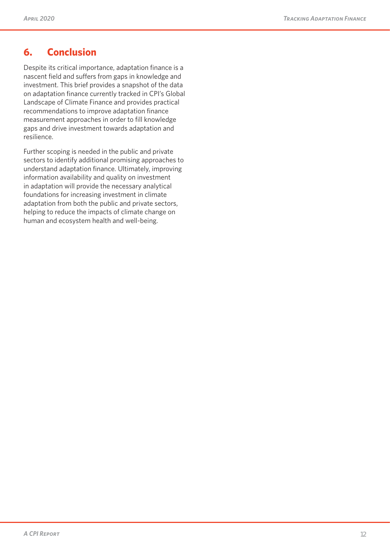# **6. Conclusion**

Despite its critical importance, adaptation finance is a nascent field and suffers from gaps in knowledge and investment. This brief provides a snapshot of the data on adaptation finance currently tracked in CPI's Global Landscape of Climate Finance and provides practical recommendations to improve adaptation finance measurement approaches in order to fill knowledge gaps and drive investment towards adaptation and resilience.

Further scoping is needed in the public and private sectors to identify additional promising approaches to understand adaptation finance. Ultimately, improving information availability and quality on investment in adaptation will provide the necessary analytical foundations for increasing investment in climate adaptation from both the public and private sectors, helping to reduce the impacts of climate change on human and ecosystem health and well-being.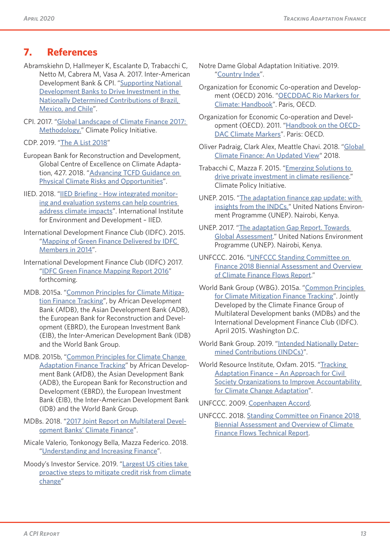# **7. References**

- Abramskiehn D, Hallmeyer K, Escalante D, Trabacchi C, Netto M, Cabrera M, Vasa A. 2017. Inter-American Development Bank & CPI. "[Supporting National](https://publications.iadb.org/en/supporting-national-development-banks-drive-investment-nationally-determined-contributions-brazil)  [Development Banks to Drive Investment in the](https://publications.iadb.org/en/supporting-national-development-banks-drive-investment-nationally-determined-contributions-brazil)  [Nationally Determined Contributions of Brazil,](https://publications.iadb.org/en/supporting-national-development-banks-drive-investment-nationally-determined-contributions-brazil)  [Mexico, and Chile](https://publications.iadb.org/en/supporting-national-development-banks-drive-investment-nationally-determined-contributions-brazil)".
- CPI. 2017. "[Global Landscape of Climate Finance 2017:](https://climatepolicyinitiative.org/wp-content/uploads/2017/10/GLCF-2017-Methodology-Document.pdf)  [Methodology.](https://climatepolicyinitiative.org/wp-content/uploads/2017/10/GLCF-2017-Methodology-Document.pdf)" Climate Policy Initiative.
- CDP. 2019. "[The A List 2018](https://www.cdp.net/en/scores)"
- European Bank for Reconstruction and Development, Global Centre of Excellence on Climate Adaptation, 427. 2018. "[Advancing TCFD Guidance on](http://427mt.com/wp-content/uploads/2018/05/EBRD-GCECA_final_report.pdf)  [Physical Climate Risks and Opportunities](http://427mt.com/wp-content/uploads/2018/05/EBRD-GCECA_final_report.pdf)".
- IIED. 2018. "[IIED Briefing How integrated monitor](http://pubs.iied.org/pdfs/17470IIED.pdf)[ing and evaluation systems can help countries](http://pubs.iied.org/pdfs/17470IIED.pdf)  [address climate impacts](http://pubs.iied.org/pdfs/17470IIED.pdf)". International Institute for Environment and Development – IIED.
- International Development Finance Club (IDFC). 2015. "[Mapping of Green Finance Delivered by IDFC](https://www.cbd.int/financial/gcf/idfc-mapping2015.pdf)  [Members in 2014](https://www.cbd.int/financial/gcf/idfc-mapping2015.pdf)".
- International Development Finance Club (IDFC) 2017. "[IDFC Green Finance Mapping Report 2016](https://www.idfc.org/wp-content/uploads/2019/04/idfc_mapping-report-2015_2016_vf.pdf)" forthcoming.
- MDB. 2015a. "[Common Principles for Climate Mitiga](https://www.worldbank.org/en/news/feature/2015/04/03/common-principles-for-tracking-climate-finance)[tion Finance Tracking](https://www.worldbank.org/en/news/feature/2015/04/03/common-principles-for-tracking-climate-finance)", by African Development Bank (AfDB), the Asian Development Bank (ADB), the European Bank for Reconstruction and Development (EBRD), the European Investment Bank (EIB), the Inter-American Development Bank (IDB) and the World Bank Group.
- MDB. 2015b, "[Common Principles for Climate Change](http://www.eib.org/attachments/documents/mdb_idfc_adaptation_common_principles_en.pdf)  [Adaptation Finance Tracking](http://www.eib.org/attachments/documents/mdb_idfc_adaptation_common_principles_en.pdf)" by African Development Bank (AfDB), the Asian Development Bank (ADB), the European Bank for Reconstruction and Development (EBRD), the European Investment Bank (EIB), the Inter-American Development Bank (IDB) and the World Bank Group.
- MDBs. 2018. "[2017 Joint Report on Multilateral Devel](https://www.worldbank.org/en/news/press-release/2018/06/13/mdb-climate-finance-hit-record-high-of-us352-billion-in-2017)[opment Banks' Climate Finance](https://www.worldbank.org/en/news/press-release/2018/06/13/mdb-climate-finance-hit-record-high-of-us352-billion-in-2017)".
- Micale Valerio, Tonkonogy Bella, Mazza Federico. 2018. "[Understanding and Increasing Finance](https://climatepolicyinitiative.org/wp-content/uploads/2018/12/Understanding-and-Increasing-Finance-for-Climate-Adaptation-in-Developing-Countries-1.pdf)".
- Moody's Investor Service. 2019. "[Largest US cities take](https://www.moodys.com/research/Moodys-Largest-US-cities-take-proactive-steps-to-mitigate-credit--PBM_1158519)  [proactive steps to mitigate credit risk from climate](https://www.moodys.com/research/Moodys-Largest-US-cities-take-proactive-steps-to-mitigate-credit--PBM_1158519)  [change](https://www.moodys.com/research/Moodys-Largest-US-cities-take-proactive-steps-to-mitigate-credit--PBM_1158519)"
- Notre Dame Global Adaptation Initiative. 2019. "[Country Index](https://gain.nd.edu/our-work/country-index/)".
- Organization for Economic Co-operation and Development (OECD) 2016. "OECDDAC Rio Markers for [Climate: Handbook](https://www.oecd.org/dac/environment-development/Revised%20climate%20marker%20handbook_FINAL.pdf)". Paris, OECD.
- Organization for Economic Co-operation and Development (OECD). 2011. "[Handbook on the OECD-](http://www.oecd.org/dac/stats/48785310.pdf)[DAC Climate Markers](http://www.oecd.org/dac/stats/48785310.pdf)". Paris: OECD.
- Oliver Padraig, Clark Alex, Meattle Chavi. 2018. "[Global](https://climatepolicyinitiative.org/wp-content/uploads/2018/11/Global-Climate-Finance-An-Updated-View-2018.pdf)  [Climate Finance: An Updated View](https://climatepolicyinitiative.org/wp-content/uploads/2018/11/Global-Climate-Finance-An-Updated-View-2018.pdf)" 2018.
- Trabacchi C, Mazza F. 2015. "[Emerging Solutions to](https://climatepolicyinitiative.org/wp-content/uploads/2015/06/Finance-for-Climate-Resilience.pdf)  [drive private investment in climate resilience](https://climatepolicyinitiative.org/wp-content/uploads/2015/06/Finance-for-Climate-Resilience.pdf)." Climate Policy Initiative.
- UNEP. 2015. "[The adaptation finance gap update: with](https://www.uncclearn.org/learning-resources/library/10425)  [insights from the INDCs.](https://www.uncclearn.org/learning-resources/library/10425)" United Nations Environment Programme (UNEP). Nairobi, Kenya.
- UNEP. 2017. "[The adaptation Gap Report. Towards](https://wedocs.unep.org/bitstream/handle/20.500.11822/22172/adaptation_gap_2017.pdf?isAllowed=y&sequence=1)  [Global Assessment](https://wedocs.unep.org/bitstream/handle/20.500.11822/22172/adaptation_gap_2017.pdf?isAllowed=y&sequence=1)." United Nations Environment Programme (UNEP). Nairobi, Kenya.
- UNFCCC. 2016. "[UNFCCC Standing Committee on](https://unfccc.int/sites/default/files/resource/2018%20BA%20Technical%20Report%20Final.pdf)  [Finance 2018 Biennial Assessment and Overview](https://unfccc.int/sites/default/files/resource/2018%20BA%20Technical%20Report%20Final.pdf)  [of Climate Finance Flows Report](https://unfccc.int/sites/default/files/resource/2018%20BA%20Technical%20Report%20Final.pdf)."
- World Bank Group (WBG). 2015a. "[Common Principles](https://www.worldbank.org/content/dam/Worldbank/document/Climate/common-principles-for-climate-mitigation-finance-tracking.pdf)  [for Climate Mitigation Finance Tracking](https://www.worldbank.org/content/dam/Worldbank/document/Climate/common-principles-for-climate-mitigation-finance-tracking.pdf)". Jointly Developed by the Climate Finance Group of Multilateral Development banks (MDBs) and the International Development Finance Club (IDFC). April 2015. Washington D.C.
- World Bank Group. 2019. "[Intended Nationally Deter](http://spappssecext.worldbank.org/sites/indc/Pages/adaptation.aspx)[mined Contributions \(INDCs\)](http://spappssecext.worldbank.org/sites/indc/Pages/adaptation.aspx)".
- World Resource Institute, Oxfam. 2015. "[Tracking](https://wriorg.s3.amazonaws.com/s3fs-public/AdaptationFinance_Rev3_SglPgs_webFINAL.pdf?_ga=2.160212152.404727473.1541526723-1735952565.1540858456)  [Adaptation Finance – An Approach for Civil](https://wriorg.s3.amazonaws.com/s3fs-public/AdaptationFinance_Rev3_SglPgs_webFINAL.pdf?_ga=2.160212152.404727473.1541526723-1735952565.1540858456)  **Society Organizations to Improve Accountability** [for Climate Change Adaptation](https://wriorg.s3.amazonaws.com/s3fs-public/AdaptationFinance_Rev3_SglPgs_webFINAL.pdf?_ga=2.160212152.404727473.1541526723-1735952565.1540858456)".

UNFCCC. 2009. [Copenhagen Accord](http://unfccc.int/resource/docs/2009/cop15/eng/11a01.pdf).

UNFCCC. 2018. [Standing Committee on Finance 2018](https://unfccc.int/sites/default/files/resource/2018%20BA%20Technical%20Report%20Final%20Feb%202019.pdf)  [Biennial Assessment and Overview of Climate](https://unfccc.int/sites/default/files/resource/2018%20BA%20Technical%20Report%20Final%20Feb%202019.pdf)  [Finance Flows Technical Report](https://unfccc.int/sites/default/files/resource/2018%20BA%20Technical%20Report%20Final%20Feb%202019.pdf).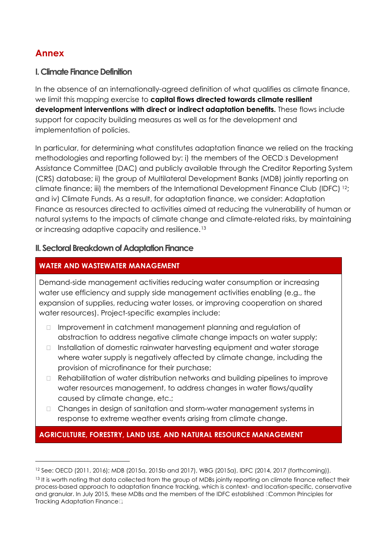# **Annex**

#### **I. Climate Finance Definition**

In the absence of an internationally-agreed definition of what qualifies as climate finance, we limit this mapping exercise to **capital flows directed towards climate resilient development interventions with direct or indirect adaptation benefits.** These flows include support for capacity building measures as well as for the development and implementation of policies.

In particular, for determining what constitutes adaptation finance we relied on the tracking methodologies and reporting followed by: i) the members of the OECD's Development Assistance Committee (DAC) and publicly available through the Creditor Reporting System (CRS) database; ii) the group of Multilateral Development Banks (MDB) jointly reporting on climate finance; iii) the members of the International Development Finance Club (IDFC) <sup>[12](#page-16-0)</sup>; and iv) Climate Funds. As a result, for adaptation finance, we consider: Adaptation Finance as resources directed to activities aimed at reducing the vulnerability of human or natural systems to the impacts of climate change and climate-related risks, by maintaining or increasing adaptive capacity and resilience.[13](#page-16-1)

#### **II. Sectoral Breakdown of Adaptation Finance**

#### **WATER AND WASTEWATER MANAGEMENT**

Demand-side management activities reducing water consumption or increasing water use efficiency and supply side management activities enabling (e.g., the expansion of supplies, reducing water losses, or improving cooperation on shared water resources). Project-specific examples include:

- Improvement in catchment management planning and regulation of abstraction to address negative climate change impacts on water supply;
- Installation of domestic rainwater harvesting equipment and water storage where water supply is negatively affected by climate change, including the provision of microfinance for their purchase;
- Rehabilitation of water distribution networks and building pipelines to improve water resources management, to address changes in water flows/quality caused by climate change, etc.;
- Changes in design of sanitation and storm-water management systems in response to extreme weather events arising from climate change.

#### **AGRICULTURE, FORESTRY, LAND USE, AND NATURAL RESOURCE MANAGEMENT**

<span id="page-16-0"></span><sup>12</sup> See: OECD (2011, 2016); MDB (2015a, 2015b and 2017), WBG (2015a), IDFC (2014, 2017 (forthcoming)).

<span id="page-16-1"></span><sup>&</sup>lt;sup>13</sup> It is worth noting that data collected from the group of MDBs jointly reporting on climate finance reflect their process-based approach to adaptation finance tracking, which is context- and location-specific, conservative and granular. In July 2015, these MDBs and the members of the IDFC established "Common Principles for Tracking Adaptation Finance".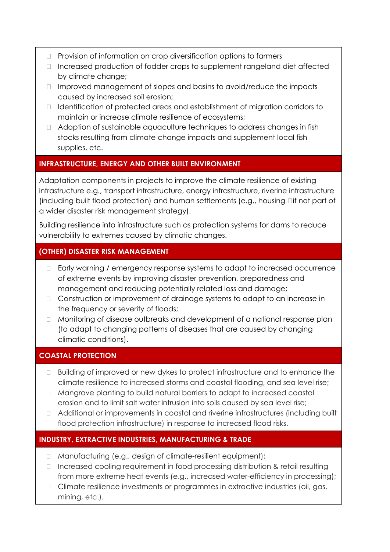- Provision of information on crop diversification options to farmers
- Increased production of fodder crops to supplement rangeland diet affected by climate change;
- Improved management of slopes and basins to avoid/reduce the impacts caused by increased soil erosion;
- Identification of protected areas and establishment of migration corridors to maintain or increase climate resilience of ecosystems;
- Adoption of sustainable aquaculture techniques to address changes in fish stocks resulting from climate change impacts and supplement local fish supplies, etc.

#### **INFRASTRUCTURE, ENERGY AND OTHER BUILT ENVIRONMENT**

Adaptation components in projects to improve the climate resilience of existing infrastructure e.g., transport infrastructure, energy infrastructure, riverine infrastructure (including built flood protection) and human settlements (e.g., housing – if not part of a wider disaster risk management strategy).

Building resilience into infrastructure such as protection systems for dams to reduce vulnerability to extremes caused by climatic changes.

### **(OTHER) DISASTER RISK MANAGEMENT**

- Early warning / emergency response systems to adapt to increased occurrence of extreme events by improving disaster prevention, preparedness and management and reducing potentially related loss and damage;
- Construction or improvement of drainage systems to adapt to an increase in the frequency or severity of floods;
- Monitoring of disease outbreaks and development of a national response plan (to adapt to changing patterns of diseases that are caused by changing climatic conditions).

#### **COASTAL PROTECTION**

- Building of improved or new dykes to protect infrastructure and to enhance the climate resilience to increased storms and coastal flooding, and sea level rise;
- Mangrove planting to build natural barriers to adapt to increased coastal erosion and to limit salt water intrusion into soils caused by sea level rise;
- Additional or improvements in coastal and riverine infrastructures (including built flood protection infrastructure) in response to increased flood risks.

### **INDUSTRY, EXTRACTIVE INDUSTRIES, MANUFACTURING & TRADE**

- Manufacturing (e.g., design of climate-resilient equipment);
- Increased cooling requirement in food processing distribution & retail resulting from more extreme heat events (e.g., increased water-efficiency in processing);
- Climate resilience investments or programmes in extractive industries (oil, gas, mining, etc.).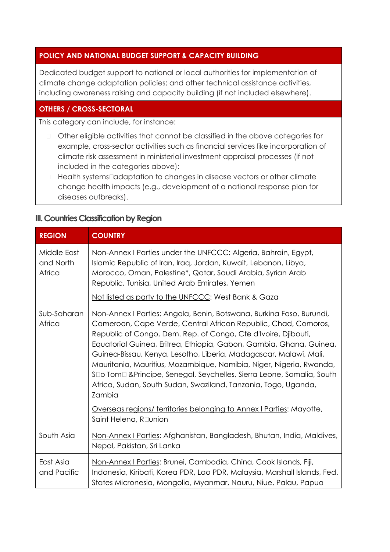#### **POLICY AND NATIONAL BUDGET SUPPORT & CAPACITY BUILDING**

Dedicated budget support to national or local authorities for implementation of climate change adaptation policies; and other technical assistance activities, including awareness raising and capacity building (if not included elsewhere).

### **OTHERS / CROSS-SECTORAL**

This category can include, for instance:

- Other eligible activities that cannot be classified in the above categories for example, cross-sector activities such as financial services like incorporation of climate risk assessment in ministerial investment appraisal processes (if not included in the categories above);
- Health systems' adaptation to changes in disease vectors or other climate change health impacts (e.g., development of a national response plan for diseases outbreaks).

#### **III. Countries Classification by Region**

| <b>REGION</b>                      | <b>COUNTRY</b>                                                                                                                                                                                                                                                                                                                                                                                                                                                                                                                                                                                                                                                                      |  |
|------------------------------------|-------------------------------------------------------------------------------------------------------------------------------------------------------------------------------------------------------------------------------------------------------------------------------------------------------------------------------------------------------------------------------------------------------------------------------------------------------------------------------------------------------------------------------------------------------------------------------------------------------------------------------------------------------------------------------------|--|
| Middle East<br>and North<br>Africa | Non-Annex I Parties under the UNFCCC: Algeria, Bahrain, Egypt,<br>Islamic Republic of Iran, Iraq, Jordan, Kuwait, Lebanon, Libya,<br>Morocco, Oman, Palestine*, Qatar, Saudi Arabia, Syrian Arab<br>Republic, Tunisia, United Arab Emirates, Yemen<br>Not listed as party to the UNFCCC: West Bank & Gaza                                                                                                                                                                                                                                                                                                                                                                           |  |
| Sub-Saharan<br>Africa              | Non-Annex I Parties: Angola, Benin, Botswana, Burkina Faso, Burundi,<br>Cameroon, Cape Verde, Central African Republic, Chad, Comoros,<br>Republic of Congo, Dem. Rep. of Congo, Cite d'Ivoire, Djibouti,<br>Equatorial Guinea, Eritrea, Ethiopia, Gabon, Gambia, Ghana, Guinea,<br>Guinea-Bissau, Kenya, Lesotho, Liberia, Madagascar, Malawi, Mali,<br>Mauritania, Mauritius, Mozambique, Namibia, Niger, Nigeria, Rwanda,<br>São Tomé & Principe, Senegal, Seychelles, Sierra Leone, Somalia, South<br>Africa, Sudan, South Sudan, Swaziland, Tanzania, Togo, Uganda,<br>Zambia<br>Overseas regions/ territories belonging to Annex I Parties: Mayotte,<br>Saint Helena, Réunion |  |
| South Asia                         | Non-Annex I Parties: Afghanistan, Bangladesh, Bhutan, India, Maldives,<br>Nepal, Pakistan, Sri Lanka                                                                                                                                                                                                                                                                                                                                                                                                                                                                                                                                                                                |  |
| East Asia<br>and Pacific           | Non-Annex I Parties: Brunei, Cambodia, China, Cook Islands, Fiji,<br>Indonesia, Kiribati, Korea PDR, Lao PDR, Malaysia, Marshall Islands, Fed.<br>States Micronesia, Mongolia, Myanmar, Nauru, Niue, Palau, Papua                                                                                                                                                                                                                                                                                                                                                                                                                                                                   |  |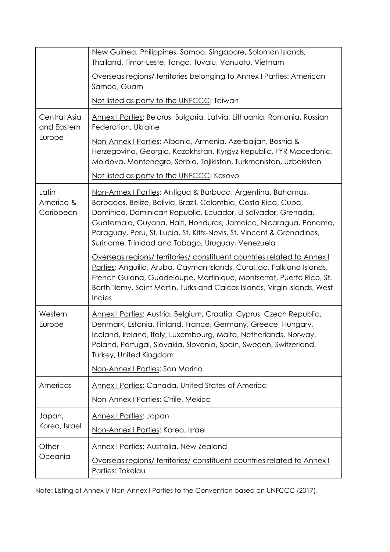|                                       | New Guinea, Philippines, Samoa, Singapore, Solomon Islands,<br>Thailand, Timor-Leste, Tonga, Tuvalu, Vanuatu, Vietnam                                                                                                                                                                                                                                                                          |  |
|---------------------------------------|------------------------------------------------------------------------------------------------------------------------------------------------------------------------------------------------------------------------------------------------------------------------------------------------------------------------------------------------------------------------------------------------|--|
|                                       | Overseas regions/ territories belonging to Annex I Parties: American<br>Samoa, Guam                                                                                                                                                                                                                                                                                                            |  |
|                                       | Not listed as party to the UNFCCC: Taiwan                                                                                                                                                                                                                                                                                                                                                      |  |
| Central Asia<br>and Eastern<br>Europe | Annex I Parties: Belarus, Bulgaria, Latvia, Lithuania, Romania, Russian<br>Federation, Ukraine                                                                                                                                                                                                                                                                                                 |  |
|                                       | Non-Annex I Parties: Albania, Armenia, Azerbaijan, Bosnia &<br>Herzegovina, Georgia, Kazakhstan, Kyrgyz Republic, FYR Macedonia,<br>Moldova, Montenegro, Serbia, Tajikistan, Turkmenistan, Uzbekistan                                                                                                                                                                                          |  |
|                                       | Not listed as party to the UNFCCC: Kosovo                                                                                                                                                                                                                                                                                                                                                      |  |
| Latin<br>America &<br>Caribbean       | Non-Annex I Parties: Antigua & Barbuda, Argentina, Bahamas,<br>Barbados, Belize, Bolivia, Brazil, Colombia, Costa Rica, Cuba,<br>Dominica, Dominican Republic, Ecuador, El Salvador, Grenada,<br>Guatemala, Guyana, Haiti, Honduras, Jamaica, Nicaragua, Panama,<br>Paraguay, Peru, St. Lucia, St. Kitts-Nevis, St. Vincent & Grenadines,<br>Suriname, Trinidad and Tobago, Uruguay, Venezuela |  |
|                                       | Overseas regions/ territories/ constituent countries related to Annex I<br>Parties: Anguilla, Aruba, Cayman Islands, Curaçao, Falkland Islands,<br>French Guiana, Guadeloupe, Martinique, Montserrat, Puerto Rico, St.<br>Barthélemy, Saint Martin, Turks and Caicos Islands, Virgin Islands, West<br>Indies                                                                                   |  |
| Western<br>Europe                     | Annex I Parties: Austria, Belgium, Croatia, Cyprus, Czech Republic,<br>Denmark, Estonia, Finland, France, Germany, Greece, Hungary,<br>Iceland, Ireland, Italy, Luxembourg, Malta, Netherlands, Norway,<br>Poland, Portugal, Slovakia, Slovenia, Spain, Sweden, Switzerland,<br>Turkey, United Kingdom<br>Non-Annex I Parties: San Marino                                                      |  |
| Americas                              | Annex I Parties: Canada, United States of America                                                                                                                                                                                                                                                                                                                                              |  |
|                                       | Non-Annex   Parties: Chile, Mexico                                                                                                                                                                                                                                                                                                                                                             |  |
| Japan,<br>Korea, Israel               | Annex   Parties: Japan<br>Non-Annex   Parties: Korea, Israel                                                                                                                                                                                                                                                                                                                                   |  |
| Other                                 | <b>Annex I Parties: Australia, New Zealand</b>                                                                                                                                                                                                                                                                                                                                                 |  |
| Oceania                               | Overseas regions/territories/constituent countries related to Annex I<br>Parties: Tokelau                                                                                                                                                                                                                                                                                                      |  |

Note: Listing of Annex I/ Non-Annex I Parties to the Convention based on UNFCCC (2017).